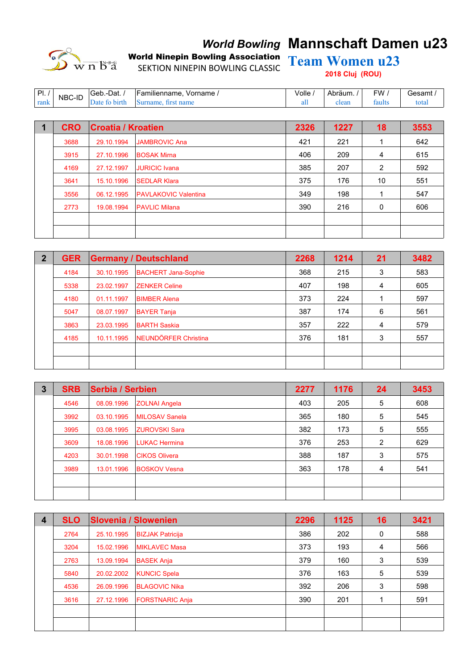

# **World Bowling Mannschaft Damen u23**

World Ninepin Bowling Association Team Women u23 SEKTION NINEPIN BOWLING CLASSIC

**2018 Cluj (ROU)**

| DI<br>. . | NBC-ID | ∴-Dat.<br><sup>∣</sup> Geb.∙ | Familienname.<br>Vorname | $/$ olle | Abräum. | ⊤w     | iesamt |
|-----------|--------|------------------------------|--------------------------|----------|---------|--------|--------|
| rank      |        | .                            |                          | an       | лсаг    | faults | total  |

| <b>CRO</b> | <b>Croatia / Kroatien</b> |                             | 2326 | 1227 | 18 | 3553 |
|------------|---------------------------|-----------------------------|------|------|----|------|
| 3688       | 29.10.1994                | <b>JAMBROVIC Ana</b>        | 421  | 221  |    | 642  |
| 3915       | 27.10.1996                | <b>BOSAK Mirna</b>          | 406  | 209  | 4  | 615  |
| 4169       | 27.12.1997                | <b>JURICIC Ivana</b>        | 385  | 207  | 2  | 592  |
| 3641       | 15.10.1996                | <b>SEDLAR Klara</b>         | 375  | 176  | 10 | 551  |
| 3556       | 06.12.1995                | <b>PAVLAKOVIC Valentina</b> | 349  | 198  |    | 547  |
| 2773       | 19.08.1994                | <b>PAVLIC Milana</b>        | 390  | 216  | 0  | 606  |
|            |                           |                             |      |      |    |      |
|            |                           |                             |      |      |    |      |

| $\overline{2}$ | <b>GER</b> |            | <b>Germany / Deutschland</b> | 2268 | 1214 | 21 | 3482 |
|----------------|------------|------------|------------------------------|------|------|----|------|
|                | 4184       | 30.10.1995 | <b>BACHERT Jana-Sophie</b>   | 368  | 215  | 3  | 583  |
|                | 5338       | 23.02.1997 | <b>ZENKER Celine</b>         | 407  | 198  | 4  | 605  |
|                | 4180       | 01.11.1997 | <b>BIMBER Alena</b>          | 373  | 224  |    | 597  |
|                | 5047       | 08.07.1997 | <b>BAYER Tanja</b>           | 387  | 174  | 6  | 561  |
|                | 3863       | 23.03.1995 | <b>BARTH Saskia</b>          | 357  | 222  | 4  | 579  |
|                | 4185       | 10.11.1995 | NEUNDÖRFER Christina         | 376  | 181  | 3  | 557  |
|                |            |            |                              |      |      |    |      |
|                |            |            |                              |      |      |    |      |

| $\mathbf{3}$ | <b>SRB</b> | <b>Serbia / Serbien</b> |                       | 2277 | 1176 | 24 | 3453 |
|--------------|------------|-------------------------|-----------------------|------|------|----|------|
|              | 4546       | 08.09.1996              | <b>ZOLNAI Angela</b>  | 403  | 205  | 5  | 608  |
|              | 3992       | 03.10.1995              | <b>MILOSAV Sanela</b> | 365  | 180  | 5  | 545  |
|              | 3995       | 03.08.1995              | <b>ZUROVSKI Sara</b>  | 382  | 173  | 5  | 555  |
|              | 3609       | 18.08.1996              | <b>LUKAC Hermina</b>  | 376  | 253  | 2  | 629  |
|              | 4203       | 30.01.1998              | <b>CIKOS Olivera</b>  | 388  | 187  | 3  | 575  |
|              | 3989       | 13.01.1996              | <b>BOSKOV Vesna</b>   | 363  | 178  | 4  | 541  |
|              |            |                         |                       |      |      |    |      |
|              |            |                         |                       |      |      |    |      |

| $\overline{\mathbf{4}}$ | <b>SLO</b> |            | <b>Slovenia / Slowenien</b> | 2296 | 1125 | 16 | 3421 |
|-------------------------|------------|------------|-----------------------------|------|------|----|------|
|                         | 2764       | 25.10.1995 | <b>BIZJAK Patricija</b>     | 386  | 202  | 0  | 588  |
|                         | 3204       | 15.02.1996 | <b>MIKLAVEC Masa</b>        | 373  | 193  | 4  | 566  |
|                         | 2763       | 13.09.1994 | <b>BASEK Anja</b>           | 379  | 160  | 3  | 539  |
|                         | 5840       | 20.02.2002 | <b>KUNCIC Spela</b>         | 376  | 163  | 5  | 539  |
|                         | 4536       | 26.09.1996 | <b>BLAGOVIC Nika</b>        | 392  | 206  | 3  | 598  |
|                         | 3616       | 27.12.1996 | <b>FORSTNARIC Anja</b>      | 390  | 201  |    | 591  |
|                         |            |            |                             |      |      |    |      |
|                         |            |            |                             |      |      |    |      |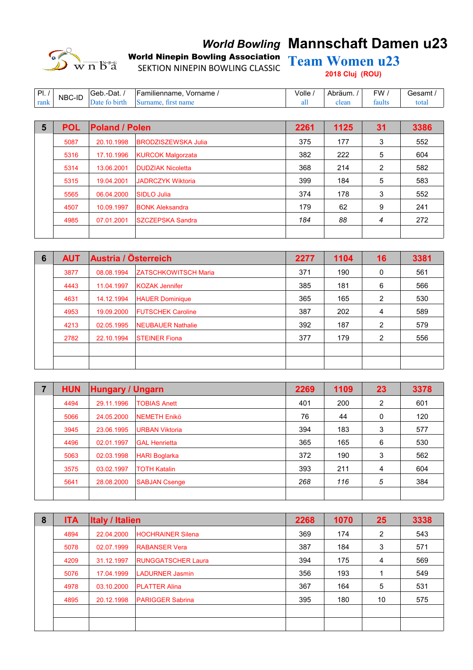

# **World Bowling Mannschaft Damen u23**

World Ninepin Bowling Association Team Women u23 SEKTION NINEPIN BOWLING CLASSIC

**2018 Cluj (ROU)**

| DI<br>. . | NBC-ID | ∴-Dat.<br>'Geb. | Vorname<br>Familienname. | Volle | Abräum. | FW     | ′ esamt |
|-----------|--------|-----------------|--------------------------|-------|---------|--------|---------|
| rank      |        |                 |                          | au    | лсаг    | taults | otal    |

| 5 | <b>POL</b> | <b>Poland / Polen</b> |                            | 2261 | 1125 | 31 | 3386 |
|---|------------|-----------------------|----------------------------|------|------|----|------|
|   | 5087       | 20.10.1998            | <b>BRODZISZEWSKA Julia</b> | 375  | 177  | 3  | 552  |
|   | 5316       | 17.10.1996            | <b>KURCOK Malgorzata</b>   | 382  | 222  | 5  | 604  |
|   | 5314       | 13.06.2001            | <b>DUDZIAK Nicoletta</b>   | 368  | 214  | 2  | 582  |
|   | 5315       | 19.04.2001            | <b>JADRCZYK Wiktoria</b>   | 399  | 184  | 5  | 583  |
|   | 5565       | 06.04.2000            | SIDLO Julia                | 374  | 178  | 3  | 552  |
|   | 4507       | 10.09.1997            | <b>BONK Aleksandra</b>     | 179  | 62   | 9  | 241  |
|   | 4985       | 07.01.2001            | <b>SZCZEPSKA Sandra</b>    | 184  | 88   | 4  | 272  |
|   |            |                       |                            |      |      |    |      |

| 6 | <b>AUT</b> | Austria / Österreich |                             | 2277 | 1104 | 16 | 3381 |
|---|------------|----------------------|-----------------------------|------|------|----|------|
|   | 3877       | 08.08.1994           | <b>ZATSCHKOWITSCH Maria</b> | 371  | 190  | 0  | 561  |
|   | 4443       | 11.04.1997           | <b>KOZAK Jennifer</b>       | 385  | 181  | 6  | 566  |
|   | 4631       | 14.12.1994           | <b>HAUER Dominique</b>      | 365  | 165  | 2  | 530  |
|   | 4953       | 19.09.2000           | <b>FUTSCHEK Caroline</b>    | 387  | 202  | 4  | 589  |
|   | 4213       | 02.05.1995           | <b>NEUBAUER Nathalie</b>    | 392  | 187  | 2  | 579  |
|   | 2782       | 22.10.1994           | <b>STEINER Fiona</b>        | 377  | 179  | 2  | 556  |
|   |            |                      |                             |      |      |    |      |
|   |            |                      |                             |      |      |    |      |

| 7 | <b>HUN</b> | <b>Hungary / Ungarn</b> |                       | 2269 | 1109 | 23 | 3378 |
|---|------------|-------------------------|-----------------------|------|------|----|------|
|   | 4494       | 29.11.1996              | <b>TOBIAS Anett</b>   | 401  | 200  | 2  | 601  |
|   | 5066       | 24.05.2000              | <b>NEMETH Enikö</b>   | 76   | 44   | 0  | 120  |
|   | 3945       | 23.06.1995              | <b>URBAN Viktoria</b> | 394  | 183  | 3  | 577  |
|   | 4496       | 02.01.1997              | <b>GAL Henrietta</b>  | 365  | 165  | 6  | 530  |
|   | 5063       | 02.03.1998              | <b>HARI Boglarka</b>  | 372  | 190  | 3  | 562  |
|   | 3575       | 03.02.1997              | <b>TOTH Katalin</b>   | 393  | 211  | 4  | 604  |
|   | 5641       | 28.08.2000              | <b>SABJAN Csenge</b>  | 268  | 116  | 5  | 384  |
|   |            |                         |                       |      |      |    |      |

| 8 | <b>ITA</b> | <b>Italy / Italien</b> |                           | 2268 | 1070 | 25 | 3338 |
|---|------------|------------------------|---------------------------|------|------|----|------|
|   | 4894       | 22.04.2000             | <b>HOCHRAINER Silena</b>  | 369  | 174  | 2  | 543  |
|   | 5078       | 02.07.1999             | <b>RABANSER Vera</b>      | 387  | 184  | 3  | 571  |
|   | 4209       | 31.12.1997             | <b>RUNGGATSCHER Laura</b> | 394  | 175  | 4  | 569  |
|   | 5076       | 17.04.1999             | <b>LADURNER Jasmin</b>    | 356  | 193  |    | 549  |
|   | 4978       | 03.10.2000             | <b>PLATTER Alina</b>      | 367  | 164  | 5  | 531  |
|   | 4895       | 20.12.1998             | <b>PARIGGER Sabrina</b>   | 395  | 180  | 10 | 575  |
|   |            |                        |                           |      |      |    |      |
|   |            |                        |                           |      |      |    |      |